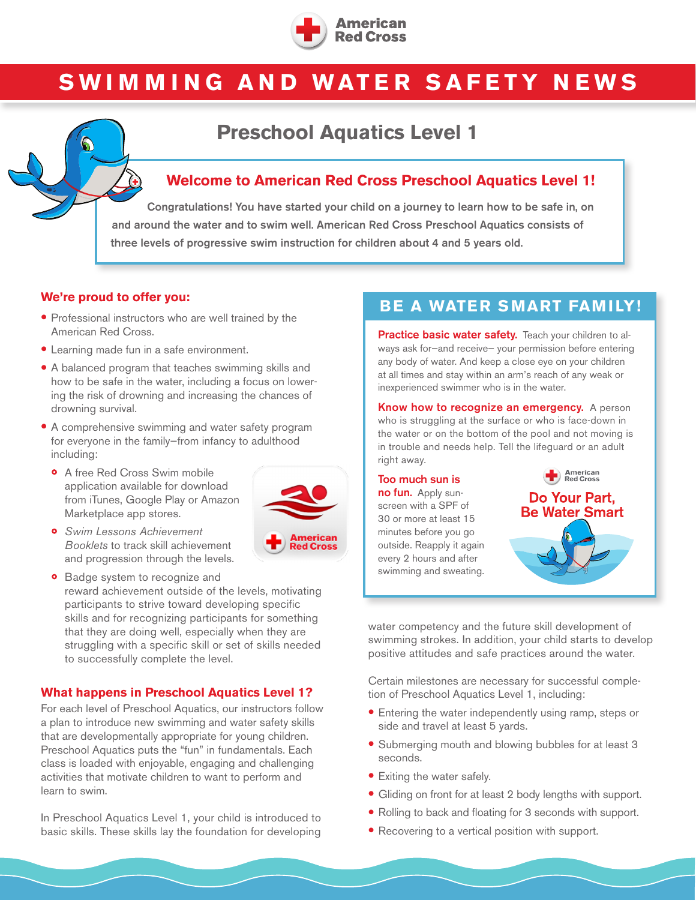

# **SWIMMING AND WATER SAFETY NEWS**

# **Preschool Aquatics Level 1**

### **Welcome to American Red Cross Preschool Aquatics Level 1!**

Congratulations! You have started your child on a journey to learn how to be safe in, on and around the water and to swim well. American Red Cross Preschool Aquatics consists of three levels of progressive swim instruction for children about 4 and 5 years old.

- Professional instructors who are well trained by the American Red Cross.
- Learning made fun in a safe environment.
- A balanced program that teaches swimming skills and how to be safe in the water, including a focus on lowering the risk of drowning and increasing the chances of drowning survival.
- A comprehensive swimming and water safety program for everyone in the family—from infancy to adulthood including:
	- A free Red Cross Swim mobile application available for download from iTunes, Google Play or Amazon Marketplace app stores.



- *Swim Lessons Achievement Booklets* to track skill achievement and progression through the levels.
- merican ed Cross
- Badge system to recognize and reward achievement outside of the levels, motivating participants to strive toward developing specific skills and for recognizing participants for something that they are doing well, especially when they are struggling with a specific skill or set of skills needed to successfully complete the level.

### **What happens in Preschool Aquatics Level 1?**

For each level of Preschool Aquatics, our instructors follow a plan to introduce new swimming and water safety skills that are developmentally appropriate for young children. Preschool Aquatics puts the "fun" in fundamentals. Each class is loaded with enjoyable, engaging and challenging activities that motivate children to want to perform and learn to swim.

In Preschool Aquatics Level 1, your child is introduced to basic skills. These skills lay the foundation for developing

# We're proud to offer you:<br> **BE A WATER SMART FAMILY!**

Practice basic water safety. Teach your children to always ask for—and receive— your permission before entering any body of water. And keep a close eye on your children at all times and stay within an arm's reach of any weak or inexperienced swimmer who is in the water.

Know how to recognize an emergency. A person who is struggling at the surface or who is face-down in the water or on the bottom of the pool and not moving is in trouble and needs help. Tell the lifeguard or an adult right away.

Too much sun is no fun. Apply sunscreen with a SPF of 30 or more at least 15 minutes before you go outside. Reapply it again every 2 hours and after swimming and sweating.



water competency and the future skill development of swimming strokes. In addition, your child starts to develop positive attitudes and safe practices around the water.

Certain milestones are necessary for successful completion of Preschool Aquatics Level 1, including:

- Entering the water independently using ramp, steps or side and travel at least 5 yards.
- Submerging mouth and blowing bubbles for at least 3 seconds.
- Exiting the water safely.
- Gliding on front for at least 2 body lengths with support.
- Rolling to back and floating for 3 seconds with support.
- Recovering to a vertical position with support.